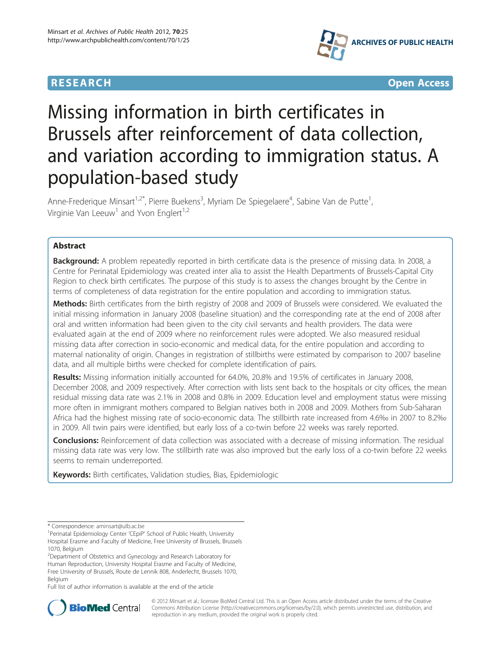# **RESEARCH CHEAR CHEAR CHEAR CHEAR CHEAR CHEAR CHEAR CHEAR CHEAR CHEAR CHEAR CHEAR CHEAR CHEAR CHEAR CHEAR CHEAR**



# Missing information in birth certificates in Brussels after reinforcement of data collection, and variation according to immigration status. A population-based study

Anne-Frederique Minsart<sup>1,2\*</sup>, Pierre Buekens<sup>3</sup>, Myriam De Spiegelaere<sup>4</sup>, Sabine Van de Putte<sup>1</sup> , Virginie Van Leeuw<sup>1</sup> and Yvon Englert<sup>1,2</sup>

# Abstract

Background: A problem repeatedly reported in birth certificate data is the presence of missing data. In 2008, a Centre for Perinatal Epidemiology was created inter alia to assist the Health Departments of Brussels-Capital City Region to check birth certificates. The purpose of this study is to assess the changes brought by the Centre in terms of completeness of data registration for the entire population and according to immigration status.

Methods: Birth certificates from the birth registry of 2008 and 2009 of Brussels were considered. We evaluated the initial missing information in January 2008 (baseline situation) and the corresponding rate at the end of 2008 after oral and written information had been given to the city civil servants and health providers. The data were evaluated again at the end of 2009 where no reinforcement rules were adopted. We also measured residual missing data after correction in socio-economic and medical data, for the entire population and according to maternal nationality of origin. Changes in registration of stillbirths were estimated by comparison to 2007 baseline data, and all multiple births were checked for complete identification of pairs.

Results: Missing information initially accounted for 64.0%, 20.8% and 19.5% of certificates in January 2008, December 2008, and 2009 respectively. After correction with lists sent back to the hospitals or city offices, the mean residual missing data rate was 2.1% in 2008 and 0.8% in 2009. Education level and employment status were missing more often in immigrant mothers compared to Belgian natives both in 2008 and 2009. Mothers from Sub-Saharan Africa had the highest missing rate of socio-economic data. The stillbirth rate increased from 4.6‰ in 2007 to 8.2‰ in 2009. All twin pairs were identified, but early loss of a co-twin before 22 weeks was rarely reported.

**Conclusions:** Reinforcement of data collection was associated with a decrease of missing information. The residual missing data rate was very low. The stillbirth rate was also improved but the early loss of a co-twin before 22 weeks seems to remain underreported.

Keywords: Birth certificates, Validation studies, Bias, Epidemiologic

<sup>2</sup>Department of Obstetrics and Gynecology and Research Laboratory for Human Reproduction, University Hospital Erasme and Faculty of Medicine, Free University of Brussels, Route de Lennik 808, Anderlecht, Brussels 1070, Belgium

Full list of author information is available at the end of the article



© 2012 Minsart et al.; licensee BioMed Central Ltd. This is an Open Access article distributed under the terms of the Creative Commons Attribution License [\(http://creativecommons.org/licenses/by/2.0\)](http://creativecommons.org/licenses/by/2.0), which permits unrestricted use, distribution, and reproduction in any medium, provided the original work is properly cited.

<sup>\*</sup> Correspondence: [aminsart@ulb.ac.be](mailto:aminsart@ulb.ac.be) <sup>1</sup>

<sup>&</sup>lt;sup>1</sup>Perinatal Epidemiology Center 'CEpiP' School of Public Health, University Hospital Erasme and Faculty of Medicine, Free University of Brussels, Brussels 1070, Belgium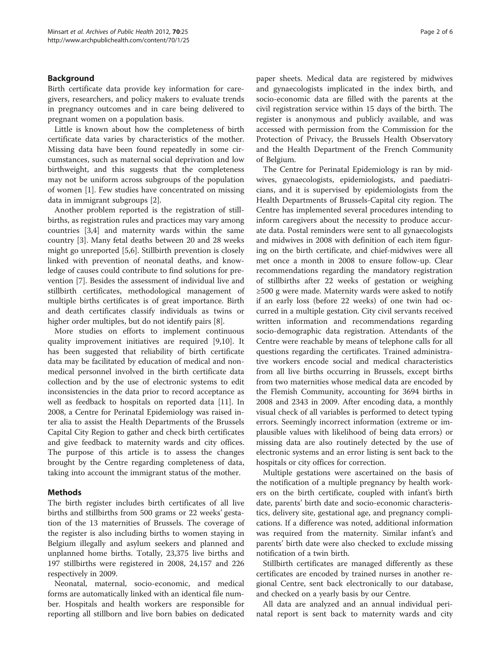# Background

Birth certificate data provide key information for caregivers, researchers, and policy makers to evaluate trends in pregnancy outcomes and in care being delivered to pregnant women on a population basis.

Little is known about how the completeness of birth certificate data varies by characteristics of the mother. Missing data have been found repeatedly in some circumstances, such as maternal social deprivation and low birthweight, and this suggests that the completeness may not be uniform across subgroups of the population of women [[1\]](#page-5-0). Few studies have concentrated on missing data in immigrant subgroups [[2\]](#page-5-0).

Another problem reported is the registration of stillbirths, as registration rules and practices may vary among countries [\[3,4](#page-5-0)] and maternity wards within the same country [[3](#page-5-0)]. Many fetal deaths between 20 and 28 weeks might go unreported [\[5,6](#page-5-0)]. Stillbirth prevention is closely linked with prevention of neonatal deaths, and knowledge of causes could contribute to find solutions for prevention [\[7](#page-5-0)]. Besides the assessment of individual live and stillbirth certificates, methodological management of multiple births certificates is of great importance. Birth and death certificates classify individuals as twins or higher order multiples, but do not identify pairs [\[8\]](#page-5-0).

More studies on efforts to implement continuous quality improvement initiatives are required [\[9,10](#page-5-0)]. It has been suggested that reliability of birth certificate data may be facilitated by education of medical and nonmedical personnel involved in the birth certificate data collection and by the use of electronic systems to edit inconsistencies in the data prior to record acceptance as well as feedback to hospitals on reported data [\[11](#page-5-0)]. In 2008, a Centre for Perinatal Epidemiology was raised inter alia to assist the Health Departments of the Brussels Capital City Region to gather and check birth certificates and give feedback to maternity wards and city offices. The purpose of this article is to assess the changes brought by the Centre regarding completeness of data, taking into account the immigrant status of the mother.

## Methods

The birth register includes birth certificates of all live births and stillbirths from 500 grams or 22 weeks' gestation of the 13 maternities of Brussels. The coverage of the register is also including births to women staying in Belgium illegally and asylum seekers and planned and unplanned home births. Totally, 23,375 live births and 197 stillbirths were registered in 2008, 24,157 and 226 respectively in 2009.

Neonatal, maternal, socio-economic, and medical forms are automatically linked with an identical file number. Hospitals and health workers are responsible for reporting all stillborn and live born babies on dedicated

paper sheets. Medical data are registered by midwives and gynaecologists implicated in the index birth, and socio-economic data are filled with the parents at the civil registration service within 15 days of the birth. The register is anonymous and publicly available, and was accessed with permission from the Commission for the Protection of Privacy, the Brussels Health Observatory and the Health Department of the French Community of Belgium.

The Centre for Perinatal Epidemiology is ran by midwives, gynaecologists, epidemiologists, and paediatricians, and it is supervised by epidemiologists from the Health Departments of Brussels-Capital city region. The Centre has implemented several procedures intending to inform caregivers about the necessity to produce accurate data. Postal reminders were sent to all gynaecologists and midwives in 2008 with definition of each item figuring on the birth certificate, and chief-midwives were all met once a month in 2008 to ensure follow-up. Clear recommendations regarding the mandatory registration of stillbirths after 22 weeks of gestation or weighing ≥500 g were made. Maternity wards were asked to notify if an early loss (before 22 weeks) of one twin had occurred in a multiple gestation. City civil servants received written information and recommendations regarding socio-demographic data registration. Attendants of the Centre were reachable by means of telephone calls for all questions regarding the certificates. Trained administrative workers encode social and medical characteristics from all live births occurring in Brussels, except births from two maternities whose medical data are encoded by the Flemish Community, accounting for 3694 births in 2008 and 2343 in 2009. After encoding data, a monthly visual check of all variables is performed to detect typing errors. Seemingly incorrect information (extreme or implausible values with likelihood of being data errors) or missing data are also routinely detected by the use of electronic systems and an error listing is sent back to the hospitals or city offices for correction.

Multiple gestations were ascertained on the basis of the notification of a multiple pregnancy by health workers on the birth certificate, coupled with infant's birth date, parents' birth date and socio-economic characteristics, delivery site, gestational age, and pregnancy complications. If a difference was noted, additional information was required from the maternity. Similar infant's and parents' birth date were also checked to exclude missing notification of a twin birth.

Stillbirth certificates are managed differently as these certificates are encoded by trained nurses in another regional Centre, sent back electronically to our database, and checked on a yearly basis by our Centre.

All data are analyzed and an annual individual perinatal report is sent back to maternity wards and city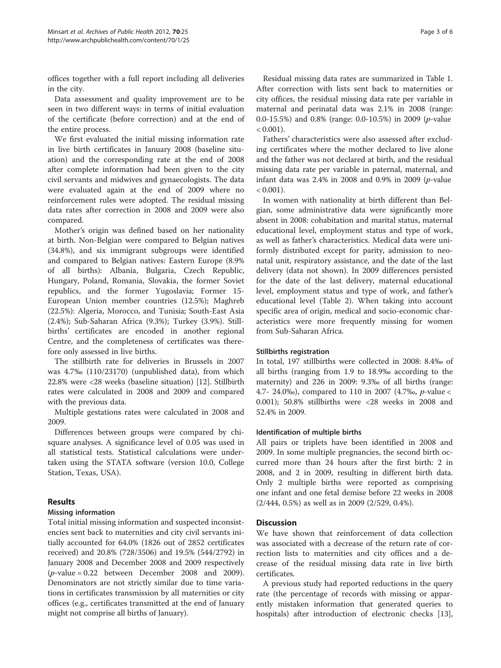offices together with a full report including all deliveries in the city.

Data assessment and quality improvement are to be seen in two different ways: in terms of initial evaluation of the certificate (before correction) and at the end of the entire process.

We first evaluated the initial missing information rate in live birth certificates in January 2008 (baseline situation) and the corresponding rate at the end of 2008 after complete information had been given to the city civil servants and midwives and gynaecologists. The data were evaluated again at the end of 2009 where no reinforcement rules were adopted. The residual missing data rates after correction in 2008 and 2009 were also compared.

Mother's origin was defined based on her nationality at birth. Non-Belgian were compared to Belgian natives (34.8%), and six immigrant subgroups were identified and compared to Belgian natives: Eastern Europe (8.9% of all births): Albania, Bulgaria, Czech Republic, Hungary, Poland, Romania, Slovakia, the former Soviet republics, and the former Yugoslavia; Former 15- European Union member countries (12.5%); Maghreb (22.5%): Algeria, Morocco, and Tunisia; South-East Asia (2.4%); Sub-Saharan Africa (9.3%); Turkey (3.9%). Stillbirths' certificates are encoded in another regional Centre, and the completeness of certificates was therefore only assessed in live births.

The stillbirth rate for deliveries in Brussels in 2007 was 4.7‰ (110/23170) (unpublished data), from which 22.8% were <28 weeks (baseline situation) [\[12](#page-5-0)]. Stillbirth rates were calculated in 2008 and 2009 and compared with the previous data.

Multiple gestations rates were calculated in 2008 and 2009.

Differences between groups were compared by chisquare analyses. A significance level of 0.05 was used in all statistical tests. Statistical calculations were undertaken using the STATA software (version 10.0, College Station, Texas, USA).

# Results

# Missing information

Total initial missing information and suspected inconsistencies sent back to maternities and city civil servants initially accounted for 64.0% (1826 out of 2852 certificates received) and 20.8% (728/3506) and 19.5% (544/2792) in January 2008 and December 2008 and 2009 respectively  $(p$ -value = 0.22 between December 2008 and 2009). Denominators are not strictly similar due to time variations in certificates transmission by all maternities or city offices (e.g., certificates transmitted at the end of January might not comprise all births of January).

Residual missing data rates are summarized in Table [1](#page-3-0). After correction with lists sent back to maternities or city offices, the residual missing data rate per variable in maternal and perinatal data was 2.1% in 2008 (range: 0.0-15.5%) and 0.8% (range: 0.0-10.5%) in 2009 (p-value  $< 0.001$ ).

Fathers' characteristics were also assessed after excluding certificates where the mother declared to live alone and the father was not declared at birth, and the residual missing data rate per variable in paternal, maternal, and infant data was  $2.4\%$  in 2008 and 0.9% in 2009 (p-value  $< 0.001$ ).

In women with nationality at birth different than Belgian, some administrative data were significantly more absent in 2008: cohabitation and marital status, maternal educational level, employment status and type of work, as well as father's characteristics. Medical data were uniformly distributed except for parity, admission to neonatal unit, respiratory assistance, and the date of the last delivery (data not shown). In 2009 differences persisted for the date of the last delivery, maternal educational level, employment status and type of work, and father's educational level (Table [2](#page-4-0)). When taking into account specific area of origin, medical and socio-economic characteristics were more frequently missing for women from Sub-Saharan Africa.

## Stillbirths registration

In total, 197 stillbirths were collected in 2008: 8.4‰ of all births (ranging from 1.9 to 18.9‰ according to the maternity) and 226 in 2009: 9.3‰ of all births (range: 4.7- 24.0‰), compared to 110 in 2007 (4.7‰, p-value < 0.001); 50.8% stillbirths were <28 weeks in 2008 and 52.4% in 2009.

## Identification of multiple births

All pairs or triplets have been identified in 2008 and 2009. In some multiple pregnancies, the second birth occurred more than 24 hours after the first birth: 2 in 2008, and 2 in 2009, resulting in different birth data. Only 2 multiple births were reported as comprising one infant and one fetal demise before 22 weeks in 2008 (2/444, 0.5%) as well as in 2009 (2/529, 0.4%).

# **Discussion**

We have shown that reinforcement of data collection was associated with a decrease of the return rate of correction lists to maternities and city offices and a decrease of the residual missing data rate in live birth certificates.

A previous study had reported reductions in the query rate (the percentage of records with missing or apparently mistaken information that generated queries to hospitals) after introduction of electronic checks [\[13](#page-5-0)],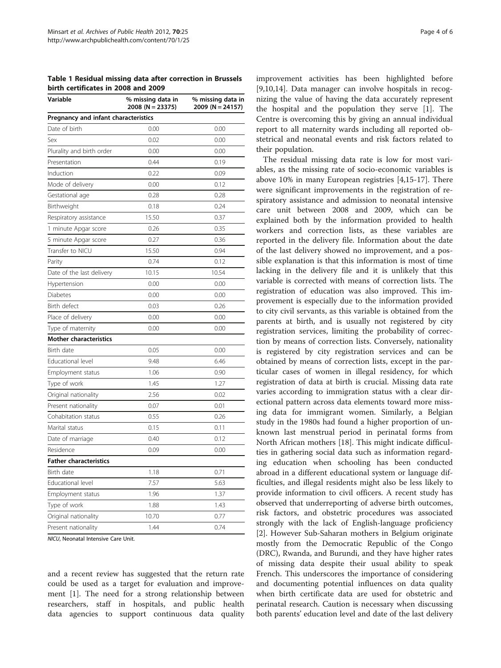<span id="page-3-0"></span>Table 1 Residual missing data after correction in Brussels birth certificates in 2008 and 2009

| Variable                             | % missing data in<br>$2008 (N = 23375)$ | % missing data in<br>$2009 (N = 24157)$ |  |  |  |  |  |  |  |
|--------------------------------------|-----------------------------------------|-----------------------------------------|--|--|--|--|--|--|--|
| Pregnancy and infant characteristics |                                         |                                         |  |  |  |  |  |  |  |
| Date of birth                        | 0.00                                    | 0.00                                    |  |  |  |  |  |  |  |
| Sex                                  | 0.02                                    | 0.00                                    |  |  |  |  |  |  |  |
| Plurality and birth order            | 0.00                                    | 0.00                                    |  |  |  |  |  |  |  |
| Presentation                         | 0.44                                    | 0.19                                    |  |  |  |  |  |  |  |
| Induction                            | 0.22                                    | 0.09                                    |  |  |  |  |  |  |  |
| Mode of delivery                     | 0.00                                    | 0.12                                    |  |  |  |  |  |  |  |
| Gestational age                      | 0.28                                    | 0.28                                    |  |  |  |  |  |  |  |
| Birthweight                          | 0.18                                    | 0.24                                    |  |  |  |  |  |  |  |
| Respiratory assistance               | 15.50                                   | 0.37                                    |  |  |  |  |  |  |  |
| 1 minute Apgar score                 | 0.26                                    | 0.35                                    |  |  |  |  |  |  |  |
| 5 minute Apgar score                 | 0.27                                    | 0.36                                    |  |  |  |  |  |  |  |
| Transfer to NICU                     | 15.50                                   | 0.94                                    |  |  |  |  |  |  |  |
| Parity                               | 0.74                                    | 0.12                                    |  |  |  |  |  |  |  |
| Date of the last delivery            | 10.15                                   | 10.54                                   |  |  |  |  |  |  |  |
| Hypertension                         | 0.00                                    | 0.00                                    |  |  |  |  |  |  |  |
| Diabetes                             | 0.00                                    | 0.00                                    |  |  |  |  |  |  |  |
| Birth defect                         | 0.03                                    | 0.26                                    |  |  |  |  |  |  |  |
| Place of delivery                    | 0.00                                    | 0.00                                    |  |  |  |  |  |  |  |
| Type of maternity                    | 0.00                                    | 0.00                                    |  |  |  |  |  |  |  |
| <b>Mother characteristics</b>        |                                         |                                         |  |  |  |  |  |  |  |
| Birth date                           | 0.05                                    | 0.00                                    |  |  |  |  |  |  |  |
| Educational level                    | 9.48                                    | 6.46                                    |  |  |  |  |  |  |  |
| Employment status                    | 1.06                                    | 0.90                                    |  |  |  |  |  |  |  |
| Type of work                         | 1.45                                    | 1.27                                    |  |  |  |  |  |  |  |
| Original nationality                 | 2.56                                    | 0.02                                    |  |  |  |  |  |  |  |
| Present nationality                  | 0.07                                    | 0.01                                    |  |  |  |  |  |  |  |
| Cohabitation status                  | 0.55                                    | 0.26                                    |  |  |  |  |  |  |  |
| Marital status                       | 0.15                                    | 0.11                                    |  |  |  |  |  |  |  |
| Date of marriage                     | 0.40                                    | 0.12                                    |  |  |  |  |  |  |  |
| Residence                            | 0.09                                    | 0.00                                    |  |  |  |  |  |  |  |
| <b>Father characteristics</b>        |                                         |                                         |  |  |  |  |  |  |  |
| Birth date                           | 1.18                                    | 0.71                                    |  |  |  |  |  |  |  |
| Educational level                    | 7.57                                    | 5.63                                    |  |  |  |  |  |  |  |
| Employment status                    | 1.96                                    | 1.37                                    |  |  |  |  |  |  |  |
| Type of work                         | 1.88                                    | 1.43                                    |  |  |  |  |  |  |  |
| Original nationality                 | 10.70                                   | 0.77                                    |  |  |  |  |  |  |  |
| Present nationality                  | 1.44                                    | 0.74                                    |  |  |  |  |  |  |  |

NICU, Neonatal Intensive Care Unit.

and a recent review has suggested that the return rate could be used as a target for evaluation and improvement [[1\]](#page-5-0). The need for a strong relationship between researchers, staff in hospitals, and public health data agencies to support continuous data quality improvement activities has been highlighted before [[9,10,14\]](#page-5-0). Data manager can involve hospitals in recognizing the value of having the data accurately represent the hospital and the population they serve [\[1\]](#page-5-0). The Centre is overcoming this by giving an annual individual report to all maternity wards including all reported obstetrical and neonatal events and risk factors related to their population.

The residual missing data rate is low for most variables, as the missing rate of socio-economic variables is above 10% in many European registries [\[4,15](#page-5-0)-[17\]](#page-5-0). There were significant improvements in the registration of respiratory assistance and admission to neonatal intensive care unit between 2008 and 2009, which can be explained both by the information provided to health workers and correction lists, as these variables are reported in the delivery file. Information about the date of the last delivery showed no improvement, and a possible explanation is that this information is most of time lacking in the delivery file and it is unlikely that this variable is corrected with means of correction lists. The registration of education was also improved. This improvement is especially due to the information provided to city civil servants, as this variable is obtained from the parents at birth, and is usually not registered by city registration services, limiting the probability of correction by means of correction lists. Conversely, nationality is registered by city registration services and can be obtained by means of correction lists, except in the particular cases of women in illegal residency, for which registration of data at birth is crucial. Missing data rate varies according to immigration status with a clear directional pattern across data elements toward more missing data for immigrant women. Similarly, a Belgian study in the 1980s had found a higher proportion of unknown last menstrual period in perinatal forms from North African mothers [\[18](#page-5-0)]. This might indicate difficulties in gathering social data such as information regarding education when schooling has been conducted abroad in a different educational system or language difficulties, and illegal residents might also be less likely to provide information to civil officers. A recent study has observed that underreporting of adverse birth outcomes, risk factors, and obstetric procedures was associated strongly with the lack of English-language proficiency [[2\]](#page-5-0). However Sub-Saharan mothers in Belgium originate mostly from the Democratic Republic of the Congo (DRC), Rwanda, and Burundi, and they have higher rates of missing data despite their usual ability to speak French. This underscores the importance of considering and documenting potential influences on data quality when birth certificate data are used for obstetric and perinatal research. Caution is necessary when discussing both parents' education level and date of the last delivery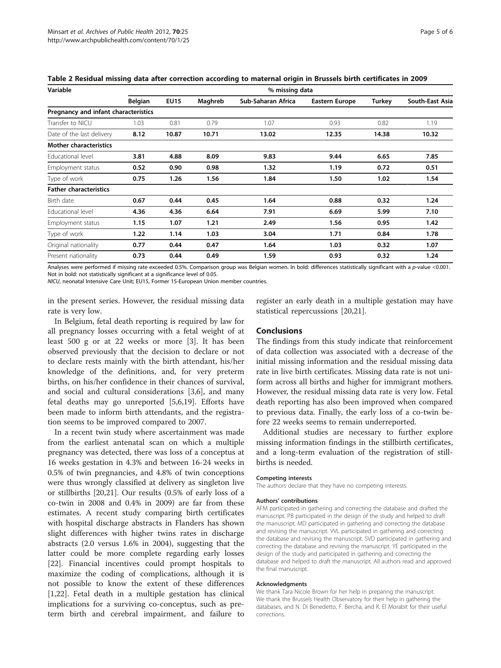| Variable                             | % missing data |             |         |                    |                       |               |                 |  |
|--------------------------------------|----------------|-------------|---------|--------------------|-----------------------|---------------|-----------------|--|
|                                      | <b>Belgian</b> | <b>EU15</b> | Maghreb | Sub-Saharan Africa | <b>Eastern Europe</b> | <b>Turkey</b> | South-East Asia |  |
| Pregnancy and infant characteristics |                |             |         |                    |                       |               |                 |  |
| Transfer to NICU                     | 1.03           | 0.81        | 0.79    | 1.07               | 0.93                  | 0.82          | 1.19            |  |
| Date of the last delivery            | 8.12           | 10.87       | 10.71   | 13.02              | 12.35                 | 14.38         | 10.32           |  |
| <b>Mother characteristics</b>        |                |             |         |                    |                       |               |                 |  |
| Educational level                    | 3.81           | 4.88        | 8.09    | 9.83               | 9.44                  | 6.65          | 7.85            |  |
| Employment status                    | 0.52           | 0.90        | 0.98    | 1.32               | 1.19                  | 0.72          | 0.51            |  |
| Type of work                         | 0.75           | 1.26        | 1.56    | 1.84               | 1.50                  | 1.02          | 1.54            |  |
| <b>Father characteristics</b>        |                |             |         |                    |                       |               |                 |  |
| Birth date                           | 0.67           | 0.44        | 0.45    | 1.64               | 0.88                  | 0.32          | 1.24            |  |
| Educational level                    | 4.36           | 4.36        | 6.64    | 7.91               | 6.69                  | 5.99          | 7.10            |  |
| Employment status                    | 1.15           | 1.07        | 1.21    | 2.49               | 1.56                  | 0.95          | 1.42            |  |
| Type of work                         | 1.22           | 1.14        | 1.03    | 3.04               | 1.71                  | 0.84          | 1.78            |  |
| Original nationality                 | 0.77           | 0.44        | 0.47    | 1.64               | 1.03                  | 0.32          | 1.07            |  |
| Present nationality                  | 0.73           | 0.44        | 0.49    | 1.59               | 0.93                  | 0.32          | 1.24            |  |

<span id="page-4-0"></span>Table 2 Residual missing data after correction according to maternal origin in Brussels birth certificates in 2009

Analyses were performed if missing rate exceeded 0.5%. Comparison group was Belgian women. In bold: differences statistically significant with a p-value <0.001. Not in bold: not statistically significant at a significance level of 0.05.

NICU, neonatal Intensive Care Unit; EU15, Former 15-European Union member countries.

in the present series. However, the residual missing data rate is very low.

In Belgium, fetal death reporting is required by law for all pregnancy losses occurring with a fetal weight of at least 500 g or at 22 weeks or more [\[3](#page-5-0)]. It has been observed previously that the decision to declare or not to declare rests mainly with the birth attendant, his/her knowledge of the definitions, and, for very preterm births, on his/her confidence in their chances of survival, and social and cultural considerations [\[3](#page-5-0),[6](#page-5-0)], and many fetal deaths may go unreported [\[5,6,19](#page-5-0)]. Efforts have been made to inform birth attendants, and the registration seems to be improved compared to 2007.

In a recent twin study where ascertainment was made from the earliest antenatal scan on which a multiple pregnancy was detected, there was loss of a conceptus at 16 weeks gestation in 4.3% and between 16-24 weeks in 0.5% of twin pregnancies, and 4.8% of twin conceptions were thus wrongly classified at delivery as singleton live or stillbirths [\[20,21\]](#page-5-0). Our results (0.5% of early loss of a co-twin in 2008 and 0.4% in 2009) are far from these estimates. A recent study comparing birth certificates with hospital discharge abstracts in Flanders has shown slight differences with higher twins rates in discharge abstracts (2.0 versus 1.6% in 2004), suggesting that the latter could be more complete regarding early losses [[22\]](#page-5-0). Financial incentives could prompt hospitals to maximize the coding of complications, although it is not possible to know the extent of these differences [[1,22\]](#page-5-0). Fetal death in a multiple gestation has clinical implications for a surviving co-conceptus, such as preterm birth and cerebral impairment, and failure to

register an early death in a multiple gestation may have statistical repercussions [[20](#page-5-0),[21](#page-5-0)].

## Conclusions

The findings from this study indicate that reinforcement of data collection was associated with a decrease of the initial missing information and the residual missing data rate in live birth certificates. Missing data rate is not uniform across all births and higher for immigrant mothers. However, the residual missing data rate is very low. Fetal death reporting has also been improved when compared to previous data. Finally, the early loss of a co-twin before 22 weeks seems to remain underreported.

Additional studies are necessary to further explore missing information findings in the stillbirth certificates, and a long-term evaluation of the registration of stillbirths is needed.

#### Competing interests

The authors declare that they have no competing interests.

#### Authors' contributions

AFM participated in gathering and correcting the database and drafted the manuscript. PB participated in the design of the study and helped to draft the manuscript. MD participated in gathering and correcting the database and revising the manuscript. VVL participated in gathering and correcting the database and revising the manuscript. SVD participated in gathering and correcting the database and revising the manuscript. YE participated in the design of the study and participated in gathering and correcting the database and helped to draft the manuscript. All authors read and approved the final manuscript.

#### Acknowledgments

We thank Tara Nicole Brown for her help in preparing the manuscript. We thank the Brussels Health Observatory for their help in gathering the databases, and N. Di Benedetto, F. Bercha, and K. El Morabit for their useful corrections.